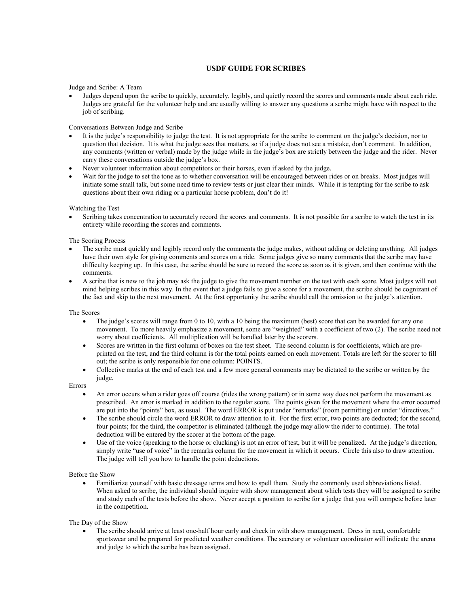## USDF GUIDE FOR SCRIBES

Judge and Scribe: A Team

• Judges depend upon the scribe to quickly, accurately, legibly, and quietly record the scores and comments made about each ride. Judges are grateful for the volunteer help and are usually willing to answer any questions a scribe might have with respect to the job of scribing.

## Conversations Between Judge and Scribe

- It is the judge's responsibility to judge the test. It is not appropriate for the scribe to comment on the judge's decision, nor to question that decision. It is what the judge sees that matters, so if a judge does not see a mistake, don't comment. In addition, any comments (written or verbal) made by the judge while in the judge's box are strictly between the judge and the rider. Never carry these conversations outside the judge's box.
- Never volunteer information about competitors or their horses, even if asked by the judge.
- Wait for the judge to set the tone as to whether conversation will be encouraged between rides or on breaks. Most judges will initiate some small talk, but some need time to review tests or just clear their minds. While it is tempting for the scribe to ask questions about their own riding or a particular horse problem, don't do it!

Watching the Test

• Scribing takes concentration to accurately record the scores and comments. It is not possible for a scribe to watch the test in its entirety while recording the scores and comments.

The Scoring Process

- The scribe must quickly and legibly record only the comments the judge makes, without adding or deleting anything. All judges have their own style for giving comments and scores on a ride. Some judges give so many comments that the scribe may have difficulty keeping up. In this case, the scribe should be sure to record the score as soon as it is given, and then continue with the comments.
- A scribe that is new to the job may ask the judge to give the movement number on the test with each score. Most judges will not mind helping scribes in this way. In the event that a judge fails to give a score for a movement, the scribe should be cognizant of the fact and skip to the next movement. At the first opportunity the scribe should call the omission to the judge's attention.

The Scores

- The judge's scores will range from 0 to 10, with a 10 being the maximum (best) score that can be awarded for any one movement. To more heavily emphasize a movement, some are "weighted" with a coefficient of two (2). The scribe need not worry about coefficients. All multiplication will be handled later by the scorers.
- Scores are written in the first column of boxes on the test sheet. The second column is for coefficients, which are preprinted on the test, and the third column is for the total points earned on each movement. Totals are left for the scorer to fill out; the scribe is only responsible for one column: POINTS.
- Collective marks at the end of each test and a few more general comments may be dictated to the scribe or written by the judge.

Errors

- An error occurs when a rider goes off course (rides the wrong pattern) or in some way does not perform the movement as prescribed. An error is marked in addition to the regular score. The points given for the movement where the error occurred are put into the "points" box, as usual. The word ERROR is put under "remarks" (room permitting) or under "directives."
- The scribe should circle the word ERROR to draw attention to it. For the first error, two points are deducted; for the second, four points; for the third, the competitor is eliminated (although the judge may allow the rider to continue). The total deduction will be entered by the scorer at the bottom of the page.
- Use of the voice (speaking to the horse or clucking) is not an error of test, but it will be penalized. At the judge's direction, simply write "use of voice" in the remarks column for the movement in which it occurs. Circle this also to draw attention. The judge will tell you how to handle the point deductions.

## Before the Show

• Familiarize yourself with basic dressage terms and how to spell them. Study the commonly used abbreviations listed. When asked to scribe, the individual should inquire with show management about which tests they will be assigned to scribe and study each of the tests before the show. Never accept a position to scribe for a judge that you will compete before later in the competition.

The Day of the Show

• The scribe should arrive at least one-half hour early and check in with show management. Dress in neat, comfortable sportswear and be prepared for predicted weather conditions. The secretary or volunteer coordinator will indicate the arena and judge to which the scribe has been assigned.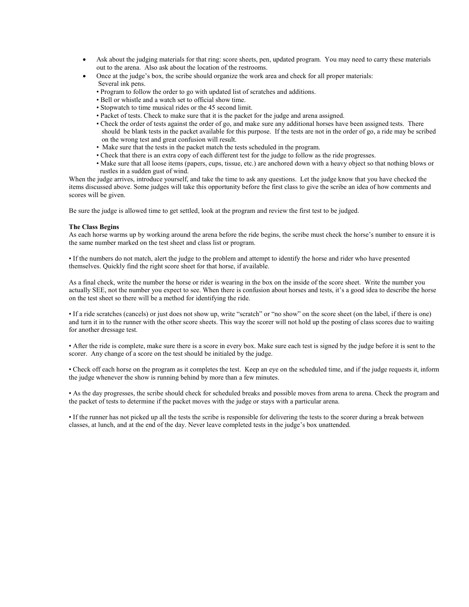- Ask about the judging materials for that ring: score sheets, pen, updated program. You may need to carry these materials out to the arena. Also ask about the location of the restrooms.
- Once at the judge's box, the scribe should organize the work area and check for all proper materials:

Several ink pens.

- Program to follow the order to go with updated list of scratches and additions.
- Bell or whistle and a watch set to official show time.
- Stopwatch to time musical rides or the 45 second limit.
- Packet of tests. Check to make sure that it is the packet for the judge and arena assigned.
- Check the order of tests against the order of go, and make sure any additional horses have been assigned tests. There should be blank tests in the packet available for this purpose. If the tests are not in the order of go, a ride may be scribed on the wrong test and great confusion will result.
- Make sure that the tests in the packet match the tests scheduled in the program.
- Check that there is an extra copy of each different test for the judge to follow as the ride progresses.
- Make sure that all loose items (papers, cups, tissue, etc.) are anchored down with a heavy object so that nothing blows or rustles in a sudden gust of wind.

When the judge arrives, introduce yourself, and take the time to ask any questions. Let the judge know that you have checked the items discussed above. Some judges will take this opportunity before the first class to give the scribe an idea of how comments and scores will be given.

Be sure the judge is allowed time to get settled, look at the program and review the first test to be judged.

## The Class Begins

As each horse warms up by working around the arena before the ride begins, the scribe must check the horse's number to ensure it is the same number marked on the test sheet and class list or program.

• If the numbers do not match, alert the judge to the problem and attempt to identify the horse and rider who have presented themselves. Quickly find the right score sheet for that horse, if available.

As a final check, write the number the horse or rider is wearing in the box on the inside of the score sheet. Write the number you actually SEE, not the number you expect to see. When there is confusion about horses and tests, it's a good idea to describe the horse on the test sheet so there will be a method for identifying the ride.

• If a ride scratches (cancels) or just does not show up, write "scratch" or "no show" on the score sheet (on the label, if there is one) and turn it in to the runner with the other score sheets. This way the scorer will not hold up the posting of class scores due to waiting for another dressage test.

• After the ride is complete, make sure there is a score in every box. Make sure each test is signed by the judge before it is sent to the scorer. Any change of a score on the test should be initialed by the judge.

• Check off each horse on the program as it completes the test. Keep an eye on the scheduled time, and if the judge requests it, inform the judge whenever the show is running behind by more than a few minutes.

• As the day progresses, the scribe should check for scheduled breaks and possible moves from arena to arena. Check the program and the packet of tests to determine if the packet moves with the judge or stays with a particular arena.

• If the runner has not picked up all the tests the scribe is responsible for delivering the tests to the scorer during a break between classes, at lunch, and at the end of the day. Never leave completed tests in the judge's box unattended.